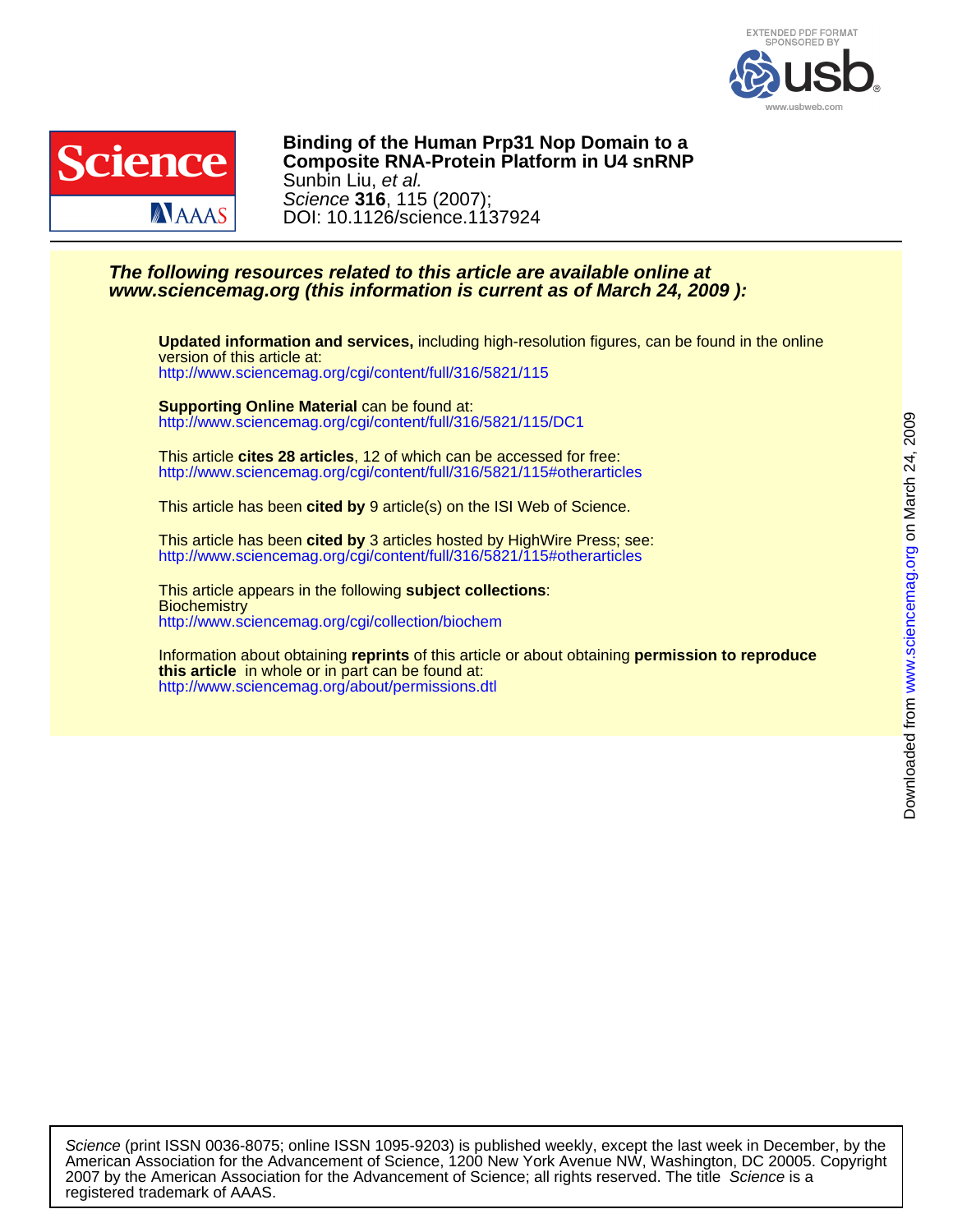



DOI: 10.1126/science.1137924 Science **316**, 115 (2007); Sunbin Liu, et al. **Composite RNA-Protein Platform in U4 snRNP Binding of the Human Prp31 Nop Domain to a**

## **www.sciencemag.org (this information is current as of March 24, 2009 ): The following resources related to this article are available online at**

<http://www.sciencemag.org/cgi/content/full/316/5821/115> version of this article at: **Updated information and services,** including high-resolution figures, can be found in the online

<http://www.sciencemag.org/cgi/content/full/316/5821/115/DC1> **Supporting Online Material** can be found at:

<http://www.sciencemag.org/cgi/content/full/316/5821/115#otherarticles> This article **cites 28 articles**, 12 of which can be accessed for free:

This article has been **cited by** 9 article(s) on the ISI Web of Science.

<http://www.sciencemag.org/cgi/content/full/316/5821/115#otherarticles> This article has been **cited by** 3 articles hosted by HighWire Press; see:

<http://www.sciencemag.org/cgi/collection/biochem> **Biochemistry** This article appears in the following **subject collections**:

<http://www.sciencemag.org/about/permissions.dtl> **this article** in whole or in part can be found at: Information about obtaining **reprints** of this article or about obtaining **permission to reproduce**

registered trademark of AAAS. 2007 by the American Association for the Advancement of Science; all rights reserved. The title Science is a American Association for the Advancement of Science, 1200 New York Avenue NW, Washington, DC 20005. Copyright Science (print ISSN 0036-8075; online ISSN 1095-9203) is published weekly, except the last week in December, by the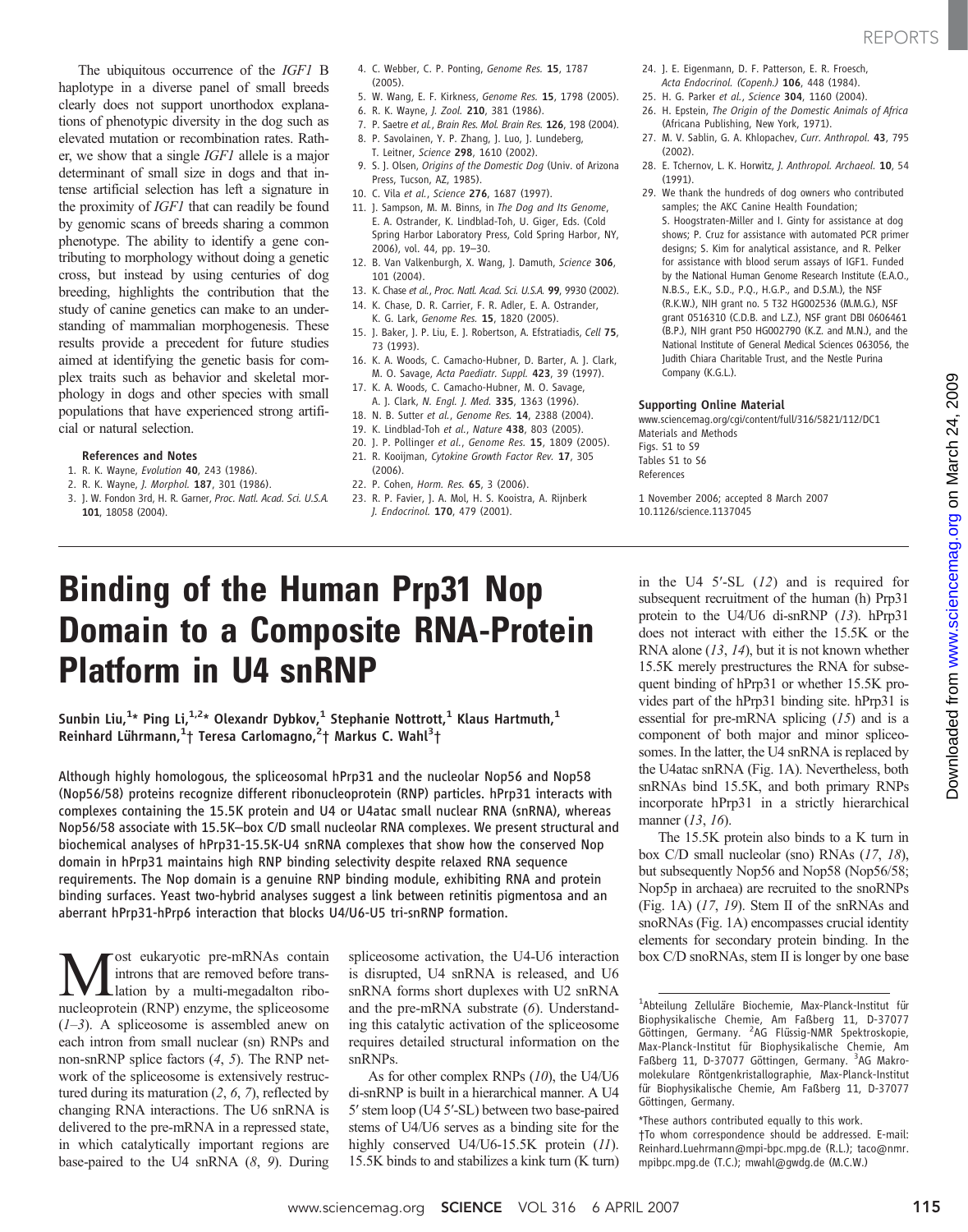The ubiquitous occurrence of the IGF1 B haplotype in a diverse panel of small breeds clearly does not support unorthodox explanations of phenotypic diversity in the dog such as elevated mutation or recombination rates. Rather, we show that a single IGF1 allele is a major determinant of small size in dogs and that intense artificial selection has left a signature in the proximity of IGF1 that can readily be found by genomic scans of breeds sharing a common phenotype. The ability to identify a gene contributing to morphology without doing a genetic cross, but instead by using centuries of dog breeding, highlights the contribution that the study of canine genetics can make to an understanding of mammalian morphogenesis. These results provide a precedent for future studies aimed at identifying the genetic basis for complex traits such as behavior and skeletal morphology in dogs and other species with small populations that have experienced strong artificial or natural selection.

#### References and Notes

- 1. R. K. Wayne, Evolution 40, 243 (1986).
- 2. R. K. Wayne, J. Morphol. 187, 301 (1986). 3. J. W. Fondon 3rd, H. R. Garner, Proc. Natl. Acad. Sci. U.S.A.
- 101, 18058 (2004).
- 4. C. Webber, C. P. Ponting, Genome Res. 15, 1787 (2005).
- 5. W. Wang, E. F. Kirkness, Genome Res. 15, 1798 (2005).
- 6. R. K. Wayne, J. Zool. 210, 381 (1986).
- 7. P. Saetre et al., Brain Res. Mol. Brain Res. 126, 198 (2004).
- 8. P. Savolainen, Y. P. Zhang, J. Luo, J. Lundeberg, T. Leitner, Science 298, 1610 (2002).
- 9. S. J. Olsen, Origins of the Domestic Dog (Univ. of Arizona Press, Tucson, AZ, 1985).
- 10. C. Vila et al., Science 276, 1687 (1997).
- 11. J. Sampson, M. M. Binns, in The Dog and Its Genome, E. A. Ostrander, K. Lindblad-Toh, U. Giger, Eds. (Cold Spring Harbor Laboratory Press, Cold Spring Harbor, NY, 2006), vol. 44, pp. 19–30.
- 12. B. Van Valkenburgh, X. Wang, J. Damuth, Science 306, 101 (2004).
- 13. K. Chase et al., Proc. Natl. Acad. Sci. U.S.A. 99, 9930 (2002).
- 14. K. Chase, D. R. Carrier, F. R. Adler, E. A. Ostrander, K. G. Lark, Genome Res. 15, 1820 (2005).
- 15. J. Baker, J. P. Liu, E. J. Robertson, A. Efstratiadis, Cell 75, 73 (1993).
- 16. K. A. Woods, C. Camacho-Hubner, D. Barter, A. J. Clark, M. O. Savage, Acta Paediatr. Suppl. 423, 39 (1997).
- 17. K. A. Woods, C. Camacho-Hubner, M. O. Savage, A. J. Clark, N. Engl. J. Med. 335, 1363 (1996).
- 18. N. B. Sutter et al., Genome Res. 14, 2388 (2004).
- 19. K. Lindblad-Toh et al., Nature 438, 803 (2005).
- 20. J. P. Pollinger et al., Genome Res. 15, 1809 (2005).
- 21. R. Kooijman, Cytokine Growth Factor Rev. 17, 305 (2006).
- 22. P. Cohen, Horm. Res. 65, 3 (2006).
- 23. R. P. Favier, J. A. Mol, H. S. Kooistra, A. Rijnberk J. Endocrinol. 170, 479 (2001).
- 24. J. E. Eigenmann, D. F. Patterson, E. R. Froesch, Acta Endocrinol. (Copenh.) 106, 448 (1984).
- 25. H. G. Parker et al., Science 304, 1160 (2004).
- 26. H. Epstein, The Origin of the Domestic Animals of Africa (Africana Publishing, New York, 1971).
- 27. M. V. Sablin, G. A. Khlopachev, Curr. Anthropol. 43, 795 (2002).
- 28. E. Tchernov, L. K. Horwitz, J. Anthropol. Archaeol. 10, 54 (1991).
- 29. We thank the hundreds of dog owners who contributed samples; the AKC Canine Health Foundation; S. Hoogstraten-Miller and I. Ginty for assistance at dog shows; P. Cruz for assistance with automated PCR primer designs; S. Kim for analytical assistance, and R. Pelker for assistance with blood serum assays of IGF1. Funded by the National Human Genome Research Institute (E.A.O., N.B.S., E.K., S.D., P.Q., H.G.P., and D.S.M.), the NSF (R.K.W.), NIH grant no. 5 T32 HG002536 (M.M.G.), NSF grant 0516310 (C.D.B. and L.Z.), NSF grant DBI 0606461 (B.P.), NIH grant P50 HG002790 (K.Z. and M.N.), and the National Institute of General Medical Sciences 063056, the Judith Chiara Charitable Trust, and the Nestle Purina Company (K.G.L.).

### Supporting Online Material

www.sciencemag.org/cgi/content/full/316/5821/112/DC1 Materials and Methods Figs. S1 to S9 Tables S1 to S6 References

1 November 2006; accepted 8 March 2007 10.1126/science.1137045

# Binding of the Human Prp31 Nop Domain to a Composite RNA-Protein Platform in U4 snRNP

Sunbin Liu, $^{1\star}$  Ping Li, $^{1,2\star}$  Olexandr Dybkov, $^1$  Stephanie Nottrott, $^1$  Klaus Hartmuth, $^1$ Reinhard Lührmann,<sup>1</sup>† Teresa Carlomagno,<sup>2</sup>† Markus C. Wahl<sup>3</sup>†

Although highly homologous, the spliceosomal hPrp31 and the nucleolar Nop56 and Nop58 (Nop56/58) proteins recognize different ribonucleoprotein (RNP) particles. hPrp31 interacts with complexes containing the 15.5K protein and U4 or U4atac small nuclear RNA (snRNA), whereas Nop56/58 associate with 15.5K–box C/D small nucleolar RNA complexes. We present structural and biochemical analyses of hPrp31-15.5K-U4 snRNA complexes that show how the conserved Nop domain in hPrp31 maintains high RNP binding selectivity despite relaxed RNA sequence requirements. The Nop domain is a genuine RNP binding module, exhibiting RNA and protein binding surfaces. Yeast two-hybrid analyses suggest a link between retinitis pigmentosa and an aberrant hPrp31-hPrp6 interaction that blocks U4/U6-U5 tri-snRNP formation.

**M** ost eukaryotic pre-mRNAs contain<br>
lation by a multi-megadalton ribo-<br>
pucleoprotein (RNP) enzyme the spliceosome introns that are removed before transnucleoprotein (RNP) enzyme, the spliceosome  $(1-3)$ . A spliceosome is assembled anew on each intron from small nuclear (sn) RNPs and non-snRNP splice factors (4, 5). The RNP network of the spliceosome is extensively restructured during its maturation  $(2, 6, 7)$ , reflected by changing RNA interactions. The U6 snRNA is delivered to the pre-mRNA in a repressed state, in which catalytically important regions are base-paired to the U4 snRNA (8, 9). During

spliceosome activation, the U4-U6 interaction is disrupted, U4 snRNA is released, and U6 snRNA forms short duplexes with U2 snRNA and the pre-mRNA substrate (6). Understanding this catalytic activation of the spliceosome requires detailed structural information on the snRNPs.

As for other complex RNPs (10), the U4/U6 di-snRNP is built in a hierarchical manner. A U4 5′ stem loop (U4 5′-SL) between two base-paired stems of U4/U6 serves as a binding site for the highly conserved U4/U6-15.5K protein (11). 15.5K binds to and stabilizes a kink turn (K turn) in the U4 5′-SL (12) and is required for subsequent recruitment of the human (h) Prp31 protein to the U4/U6 di-snRNP (13). hPrp31 does not interact with either the 15.5K or the RNA alone  $(13, 14)$ , but it is not known whether 15.5K merely prestructures the RNA for subsequent binding of hPrp31 or whether 15.5K provides part of the hPrp31 binding site. hPrp31 is essential for pre-mRNA splicing (15) and is a component of both major and minor spliceosomes. In the latter, the U4 snRNA is replaced by the U4atac snRNA (Fig. 1A). Nevertheless, both snRNAs bind 15.5K, and both primary RNPs incorporate hPrp31 in a strictly hierarchical manner (13, 16).

The 15.5K protein also binds to a K turn in box C/D small nucleolar (sno) RNAs (17, 18), but subsequently Nop56 and Nop58 (Nop56/58; Nop5p in archaea) are recruited to the snoRNPs (Fig. 1A) (17, 19). Stem II of the snRNAs and snoRNAs (Fig. 1A) encompasses crucial identity elements for secondary protein binding. In the box C/D snoRNAs, stem II is longer by one base

<sup>1</sup> Abteilung Zelluläre Biochemie, Max-Planck-Institut für Biophysikalische Chemie, Am Faßberg 11, D-37077 Göttingen, Germany. <sup>2</sup>AG Flüssig-NMR Spektroskopie, Max-Planck-Institut für Biophysikalische Chemie, Am Faßberg 11, D-37077 Göttingen, Germany. <sup>3</sup>AG Makromolekulare Röntgenkristallographie, Max-Planck-Institut für Biophysikalische Chemie, Am Faßberg 11, D-37077 Göttingen, Germany.

<sup>\*</sup>These authors contributed equally to this work. †To whom correspondence should be addressed. E-mail: Reinhard.Luehrmann@mpi-bpc.mpg.de (R.L.); taco@nmr. mpibpc.mpg.de (T.C.); mwahl@gwdg.de (M.C.W.)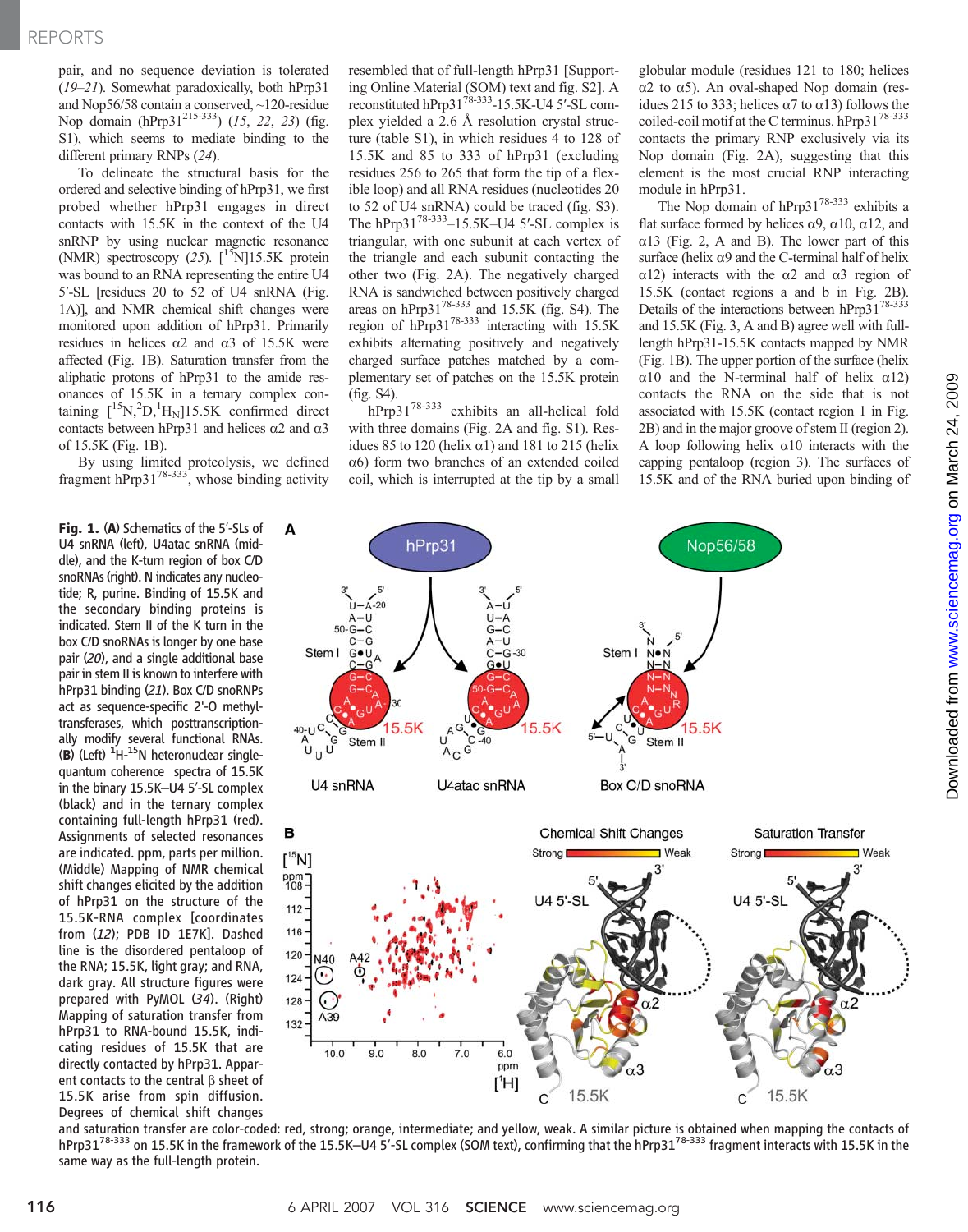pair, and no sequence deviation is tolerated (19–21). Somewhat paradoxically, both hPrp31 and Nop56/58 contain a conserved, ~120-residue Nop domain (hPrp3 $1^{215-333}$ ) (15, 22, 23) (fig. S1), which seems to mediate binding to the different primary RNPs (24).

To delineate the structural basis for the ordered and selective binding of hPrp31, we first probed whether hPrp31 engages in direct contacts with 15.5K in the context of the U4 snRNP by using nuclear magnetic resonance (NMR) spectroscopy (25).  $\lceil 15 \text{N} \rceil 15.5 \text{K}$  protein was bound to an RNA representing the entire U4 5′-SL [residues 20 to 52 of U4 snRNA (Fig. 1A)], and NMR chemical shift changes were monitored upon addition of hPrp31. Primarily residues in helices  $\alpha$ 2 and  $\alpha$ 3 of 15.5K were affected (Fig. 1B). Saturation transfer from the aliphatic protons of hPrp31 to the amide resonances of 15.5K in a ternary complex containing  $\left[ {}^{15}N, {}^{2}D, {}^{1}H_{N} \right]$ 15.5K confirmed direct contacts between hPrp31 and helices  $\alpha$ 2 and  $\alpha$ 3 of 15.5K (Fig. 1B).

By using limited proteolysis, we defined fragment hPrp3178-333, whose binding activity

Fig. 1. (A) Schematics of the 5'-SLs of U4 snRNA (left), U4atac snRNA (middle), and the K-turn region of box C/D snoRNAs (right). N indicates any nucleotide; R, purine. Binding of 15.5K and the secondary binding proteins is indicated. Stem II of the K turn in the box C/D snoRNAs is longer by one base pair (20), and a single additional base pair in stem II is known to interfere with hPrp31 binding (21). Box C/D snoRNPs act as sequence-specific 2'-O methyltransferases, which posttranscriptionally modify several functional RNAs.  $\overline{B}$ ) (Left) <sup>1</sup>H-<sup>15</sup>N heteronuclear single-<br>quantum coherence spectra of 15.5K quantum coherence spectra of 15.5K in the binary 15.5K–U4 5′-SL complex (black) and in the ternary complex containing full-length hPrp31 (red). Assignments of selected resonances are indicated. ppm, parts per million. (Middle) Mapping of NMR chemical shift changes elicited by the addition of hPrp31 on the structure of the 15.5K-RNA complex [coordinates from (12); PDB ID 1E7K]. Dashed line is the disordered pentaloop of the RNA; 15.5K, light gray; and RNA, dark gray. All structure figures were prepared with PyMOL (34). (Right) Mapping of saturation transfer from hPrp31 to RNA-bound 15.5K, indicating residues of 15.5K that are directly contacted by hPrp31. Apparent contacts to the central  $\beta$  sheet of 15.5K arise from spin diffusion. Degrees of chemical shift changes resembled that of full-length hPrp31 [Supporting Online Material (SOM) text and fig. S2]. A reconstituted hPrp3178-333-15.5K-U4 5′-SL complex yielded a 2.6 Å resolution crystal structure (table S1), in which residues 4 to 128 of 15.5K and 85 to 333 of hPrp31 (excluding residues 256 to 265 that form the tip of a flexible loop) and all RNA residues (nucleotides 20 to 52 of U4 snRNA) could be traced (fig. S3). The hPrp3 $1^{78-333}$ –15.5K–U4 5'-SL complex is triangular, with one subunit at each vertex of the triangle and each subunit contacting the other two (Fig. 2A). The negatively charged RNA is sandwiched between positively charged areas on hPrp31<sup>78-333</sup> and 15.5K (fig. S4). The region of  $hPrp31^{78-333}$  interacting with 15.5K exhibits alternating positively and negatively charged surface patches matched by a complementary set of patches on the 15.5K protein (fig. S4).

hPrp3178-333 exhibits an all-helical fold with three domains (Fig. 2A and fig. S1). Residues 85 to 120 (helix  $\alpha$ 1) and 181 to 215 (helix  $\alpha$ 6) form two branches of an extended coiled coil, which is interrupted at the tip by a small

globular module (residues 121 to 180; helices  $\alpha$ 2 to  $\alpha$ 5). An oval-shaped Nop domain (residues 215 to 333; helices  $\alpha$ 7 to  $\alpha$ 13) follows the coiled-coil motif at the C terminus. hPrp31<sup>78-333</sup> contacts the primary RNP exclusively via its Nop domain (Fig. 2A), suggesting that this element is the most crucial RNP interacting module in hPrp31.

The Nop domain of hPrp31<sup>78-333</sup> exhibits a flat surface formed by helices  $\alpha$ 9,  $\alpha$ 10,  $\alpha$ 12, and  $\alpha$ 13 (Fig. 2, A and B). The lower part of this surface (helix  $\alpha$ 9 and the C-terminal half of helix  $\alpha$ 12) interacts with the  $\alpha$ 2 and  $\alpha$ 3 region of 15.5K (contact regions a and b in Fig. 2B). Details of the interactions between  $hPrp31^{78-333}$ and 15.5K (Fig. 3, A and B) agree well with fulllength hPrp31-15.5K contacts mapped by NMR (Fig. 1B). The upper portion of the surface (helix  $\alpha$ 10 and the N-terminal half of helix  $\alpha$ 12) contacts the RNA on the side that is not associated with 15.5K (contact region 1 in Fig. 2B) and in the major groove of stem II (region 2). A loop following helix  $\alpha$ 10 interacts with the capping pentaloop (region 3). The surfaces of 15.5K and of the RNA buried upon binding of



and saturation transfer are color-coded: red, strong; orange, intermediate; and yellow, weak. A similar picture is obtained when mapping the contacts of hPrp31<sup>78-333</sup> on 15.5K in the framework of the 15.5K–U4 5'-SL complex (SOM text), confirming that the hPrp31<sup>78-333</sup> fragment interacts with 15.5K in the same way as the full-length protein.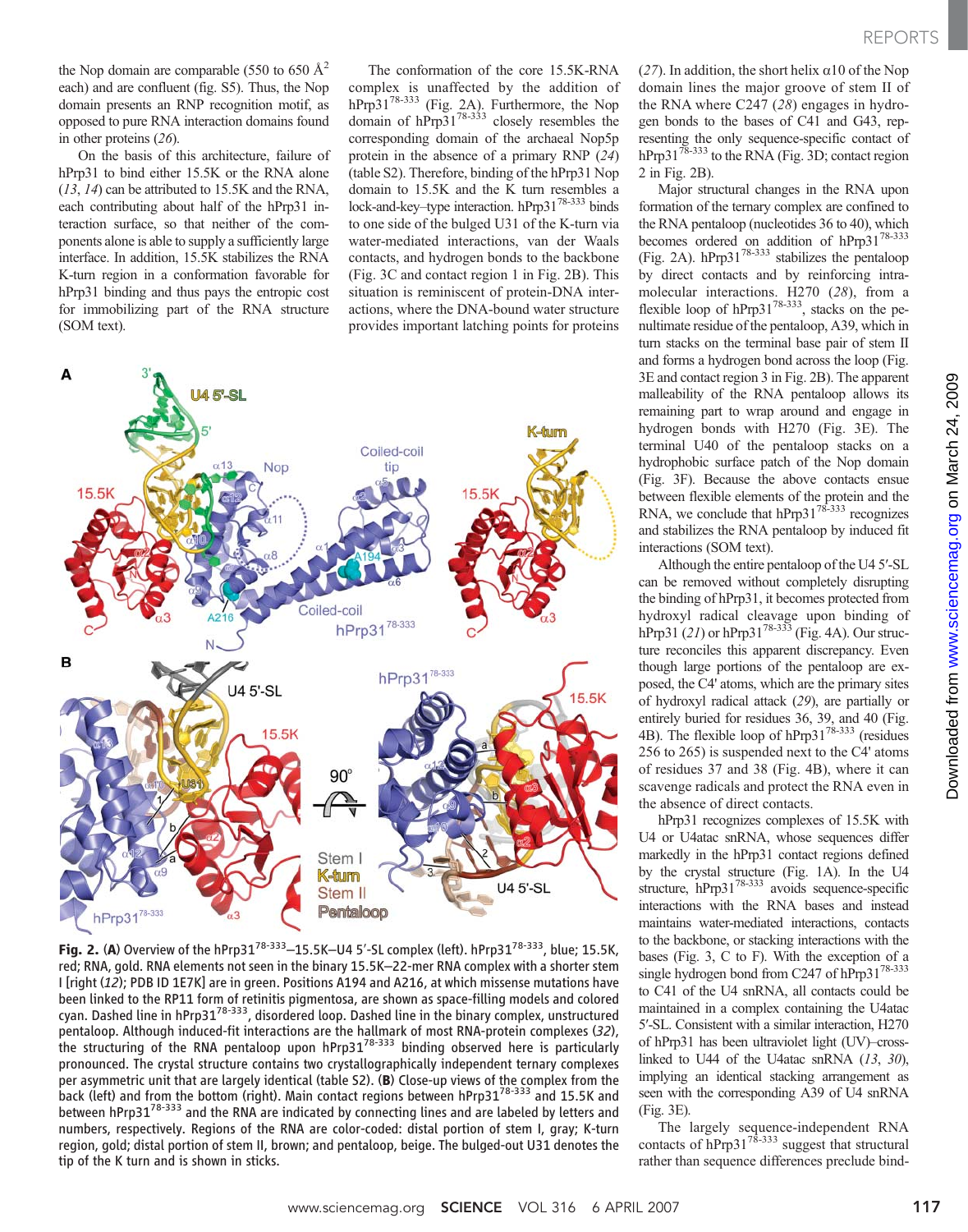the Nop domain are comparable (550 to 650  $\AA^2$ ) each) and are confluent (fig. S5). Thus, the Nop domain presents an RNP recognition motif, as opposed to pure RNA interaction domains found in other proteins (26).

On the basis of this architecture, failure of hPrp31 to bind either 15.5K or the RNA alone (13, 14) can be attributed to 15.5K and the RNA, each contributing about half of the hPrp31 interaction surface, so that neither of the components alone is able to supply a sufficiently large interface. In addition, 15.5K stabilizes the RNA K-turn region in a conformation favorable for hPrp31 binding and thus pays the entropic cost for immobilizing part of the RNA structure (SOM text).

The conformation of the core 15.5K-RNA complex is unaffected by the addition of hPrp $31^{78-333}$  (Fig. 2A). Furthermore, the Nop domain of  $hPrp31^{78-333}$  closely resembles the corresponding domain of the archaeal Nop5p protein in the absence of a primary RNP (24) (table S2). Therefore, binding of the hPrp31 Nop domain to 15.5K and the K turn resembles a lock-and-key–type interaction. hPrp3178-333 binds to one side of the bulged U31 of the K-turn via water-mediated interactions, van der Waals contacts, and hydrogen bonds to the backbone (Fig. 3C and contact region 1 in Fig. 2B). This situation is reminiscent of protein-DNA interactions, where the DNA-bound water structure provides important latching points for proteins



Fig. 2. (A) Overview of the hPrp31<sup>78-333</sup>-15.5K-U4 5'-SL complex (left). hPrp31<sup>78-333</sup>, blue; 15.5K, red; RNA, gold. RNA elements not seen in the binary 15.5K–22-mer RNA complex with a shorter stem I [right (12); PDB ID 1E7K] are in green. Positions A194 and A216, at which missense mutations have been linked to the RP11 form of retinitis pigmentosa, are shown as space-filling models and colored cyan. Dashed line in hPrp3178-333, disordered loop. Dashed line in the binary complex, unstructured pentaloop. Although induced-fit interactions are the hallmark of most RNA-protein complexes (32), the structuring of the RNA pentaloop upon hPrp3178-333 binding observed here is particularly pronounced. The crystal structure contains two crystallographically independent ternary complexes per asymmetric unit that are largely identical (table S2). (B) Close-up views of the complex from the back (left) and from the bottom (right). Main contact regions between hPrp31<sup>78-333</sup> and 15.5K and between hPrp31<sup>78-333</sup> and the RNA are indicated by connecting lines and are labeled by letters and numbers, respectively. Regions of the RNA are color-coded: distal portion of stem I, gray; K-turn region, gold; distal portion of stem II, brown; and pentaloop, beige. The bulged-out U31 denotes the tip of the K turn and is shown in sticks.

(27). In addition, the short helix  $\alpha$ 10 of the Nop domain lines the major groove of stem II of the RNA where C247 (28) engages in hydrogen bonds to the bases of C41 and G43, representing the only sequence-specific contact of hPrp31<sup>78-333</sup> to the RNA (Fig. 3D; contact region 2 in Fig. 2B).

Major structural changes in the RNA upon formation of the ternary complex are confined to the RNA pentaloop (nucleotides 36 to 40), which becomes ordered on addition of hPrp31<sup>78-333</sup> (Fig. 2A). hPrp31<sup>78-333</sup> stabilizes the pentaloop by direct contacts and by reinforcing intramolecular interactions. H270 (28), from a flexible loop of  $hPrp31^{78-333}$ , stacks on the penultimate residue of the pentaloop, A39, which in turn stacks on the terminal base pair of stem II and forms a hydrogen bond across the loop (Fig. 3E and contact region 3 in Fig. 2B). The apparent malleability of the RNA pentaloop allows its remaining part to wrap around and engage in hydrogen bonds with H270 (Fig. 3E). The terminal U40 of the pentaloop stacks on a hydrophobic surface patch of the Nop domain (Fig. 3F). Because the above contacts ensue between flexible elements of the protein and the RNA, we conclude that  $hPrp31^{78-333}$  recognizes and stabilizes the RNA pentaloop by induced fit interactions (SOM text).

Although the entire pentaloop of the U4 5′-SL can be removed without completely disrupting the binding of hPrp31, it becomes protected from hydroxyl radical cleavage upon binding of hPrp31 (21) or hPrp31<sup>78-333</sup> (Fig. 4A). Our structure reconciles this apparent discrepancy. Even though large portions of the pentaloop are exposed, the C4' atoms, which are the primary sites of hydroxyl radical attack (29), are partially or entirely buried for residues 36, 39, and 40 (Fig. 4B). The flexible loop of hPrp31<sup>78-333</sup> (residues 256 to 265) is suspended next to the C4' atoms of residues 37 and 38 (Fig. 4B), where it can scavenge radicals and protect the RNA even in the absence of direct contacts.

hPrp31 recognizes complexes of 15.5K with U4 or U4atac snRNA, whose sequences differ markedly in the hPrp31 contact regions defined by the crystal structure (Fig. 1A). In the U4 structure, hPrp31<sup>78-333</sup> avoids sequence-specific interactions with the RNA bases and instead maintains water-mediated interactions, contacts to the backbone, or stacking interactions with the bases (Fig. 3, C to F). With the exception of a single hydrogen bond from C247 of hPrp31<sup>78-333</sup> to C41 of the U4 snRNA, all contacts could be maintained in a complex containing the U4atac 5′-SL. Consistent with a similar interaction, H270 of hPrp31 has been ultraviolet light (UV)–crosslinked to U44 of the U4atac snRNA  $(13, 30)$ , implying an identical stacking arrangement as seen with the corresponding A39 of U4 snRNA (Fig. 3E).

The largely sequence-independent RNA contacts of  $\overline{hPrp31}^{78-333}$  suggest that structural rather than sequence differences preclude bindon March 24, 2009 [www.sciencemag.org](http://www.sciencemag.org)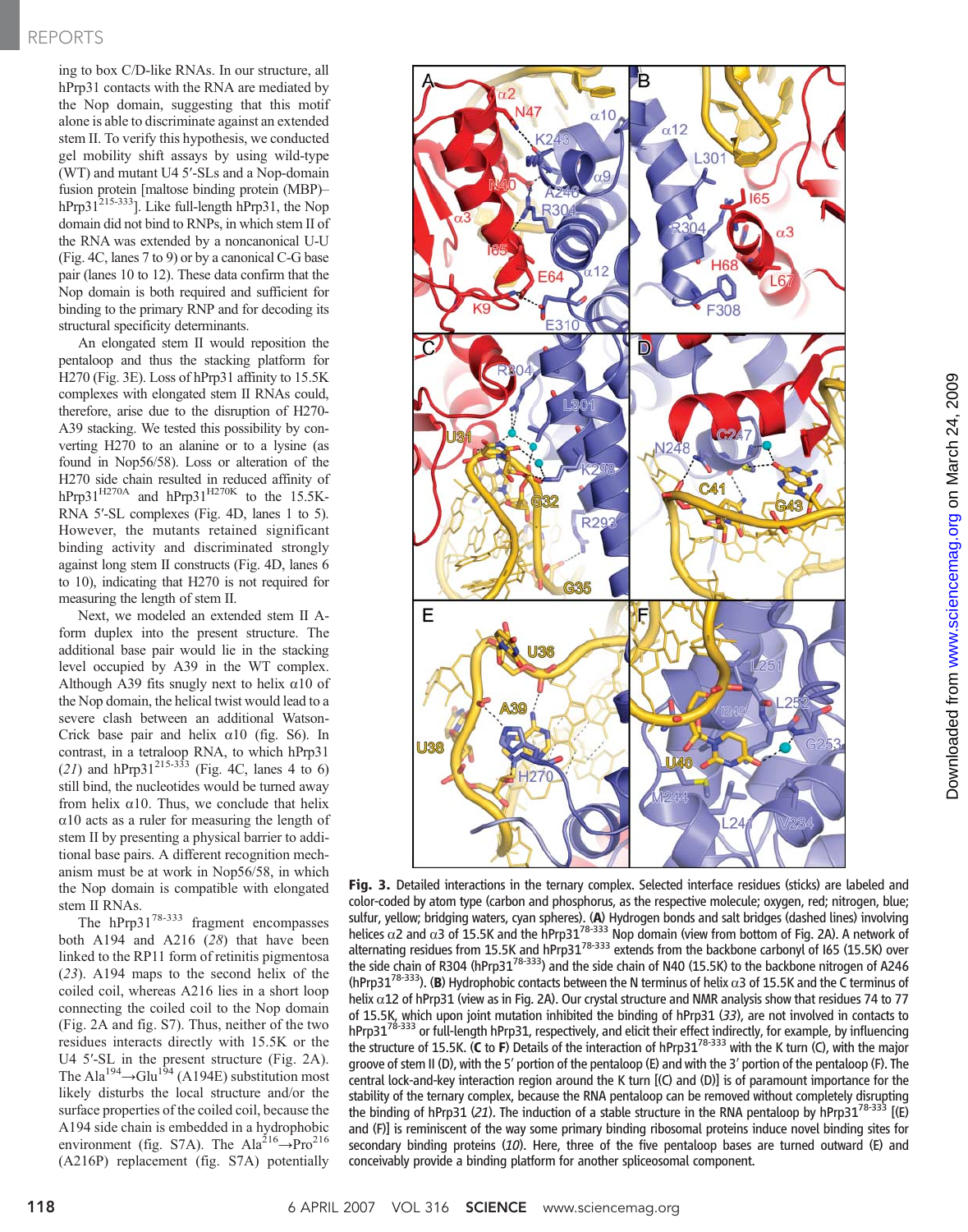## REPORTS

ing to box C/D-like RNAs. In our structure, all hPrp31 contacts with the RNA are mediated by the Nop domain, suggesting that this motif alone is able to discriminate against an extended stem II. To verify this hypothesis, we conducted gel mobility shift assays by using wild-type (WT) and mutant U4 5′-SLs and a Nop-domain fusion protein [maltose binding protein (MBP)– hPrp31<sup>215-333</sup>]. Like full-length hPrp31, the Nop domain did not bind to RNPs, in which stem II of the RNA was extended by a noncanonical U-U (Fig. 4C, lanes 7 to 9) or by a canonical C-G base pair (lanes 10 to 12). These data confirm that the Nop domain is both required and sufficient for binding to the primary RNP and for decoding its structural specificity determinants.

An elongated stem II would reposition the pentaloop and thus the stacking platform for H270 (Fig. 3E). Loss of hPrp31 affinity to 15.5K complexes with elongated stem II RNAs could, therefore, arise due to the disruption of H270- A39 stacking. We tested this possibility by converting H270 to an alanine or to a lysine (as found in Nop56/58). Loss or alteration of the H270 side chain resulted in reduced affinity of hPrp31 $^{H270A}$  and hPrp31 $^{H270K}$  to the 15.5K-RNA 5′-SL complexes (Fig. 4D, lanes 1 to 5). However, the mutants retained significant binding activity and discriminated strongly against long stem II constructs (Fig. 4D, lanes 6 to 10), indicating that H270 is not required for measuring the length of stem II.

Next, we modeled an extended stem II Aform duplex into the present structure. The additional base pair would lie in the stacking level occupied by A39 in the WT complex. Although A39 fits snugly next to helix  $\alpha$ 10 of the Nop domain, the helical twist would lead to a severe clash between an additional Watson-Crick base pair and helix  $\alpha$ 10 (fig. S6). In contrast, in a tetraloop RNA, to which hPrp31 (21) and hPrp31<sup>215-333</sup> (Fig. 4C, lanes 4 to 6) still bind, the nucleotides would be turned away from helix  $\alpha$ 10. Thus, we conclude that helix  $\alpha$ 10 acts as a ruler for measuring the length of stem II by presenting a physical barrier to additional base pairs. A different recognition mechanism must be at work in Nop56/58, in which the Nop domain is compatible with elongated stem II RNAs.

The hPrp31<sup>78-333</sup> fragment encompasses both A194 and A216 (28) that have been linked to the RP11 form of retinitis pigmentosa (23). A194 maps to the second helix of the coiled coil, whereas A216 lies in a short loop connecting the coiled coil to the Nop domain (Fig. 2A and fig. S7). Thus, neither of the two residues interacts directly with 15.5K or the U4 5′-SL in the present structure (Fig. 2A). The Ala<sup>194</sup> $\rightarrow$ Glu<sup>194</sup> (A194E) substitution most likely disturbs the local structure and/or the surface properties of the coiled coil, because the A194 side chain is embedded in a hydrophobic environment (fig. S7A). The Ala<sup>216</sup> $\rightarrow$ Pro<sup>216</sup> (A216P) replacement (fig. S7A) potentially



Fig. 3. Detailed interactions in the ternary complex. Selected interface residues (sticks) are labeled and color-coded by atom type (carbon and phosphorus, as the respective molecule; oxygen, red; nitrogen, blue; sulfur, yellow; bridging waters, cyan spheres). (**A**) Hydrogen bonds and salt bridges (dashed lines) involving<br>helices α2 and α3 of 15.5K and the hPrp31<sup>78-333</sup> Nop domain (view from bottom of Fig. 2A). A network of alternating residues from 15.5K and hPrp31<sup>78-333</sup> extends from the backbone carbonyl of I65 (15.5K) over the side chain of R304 (hPrp31<sup>78-333</sup>) and the side chain of N40 (15.5K) to the backbone nitrogen of A246 (hPrp31<sup>78-333</sup>). (B) Hydrophobic contacts between the N terminus of helix  $\alpha$ 3 of 15.5K and the C terminus of helix  $\alpha$ 12 of hPrp31 (view as in Fig. 2A). Our crystal structure and NMR analysis show that residues 74 to 77 of 15.5K, which upon joint mutation inhibited the binding of hPrp31 (33), are not involved in contacts to  $h$ Prp3 $1^{78-333}$  or full-length hPrp31, respectively, and elicit their effect indirectly, for example, by influencing the structure of 15.5K. (C to F) Details of the interaction of hPrp31<sup>78-333</sup> with the K turn (C), with the major groove of stem II (D), with the 5′ portion of the pentaloop (E) and with the 3′ portion of the pentaloop (F). The central lock-and-key interaction region around the K turn [(C) and (D)] is of paramount importance for the stability of the ternary complex, because the RNA pentaloop can be removed without completely disrupting the binding of hPrp31 (21). The induction of a stable structure in the RNA pentaloop by hPrp31<sup>78-333</sup> [(E) and (F)] is reminiscent of the way some primary binding ribosomal proteins induce novel binding sites for secondary binding proteins  $(10)$ . Here, three of the five pentaloop bases are turned outward (E) and conceivably provide a binding platform for another spliceosomal component.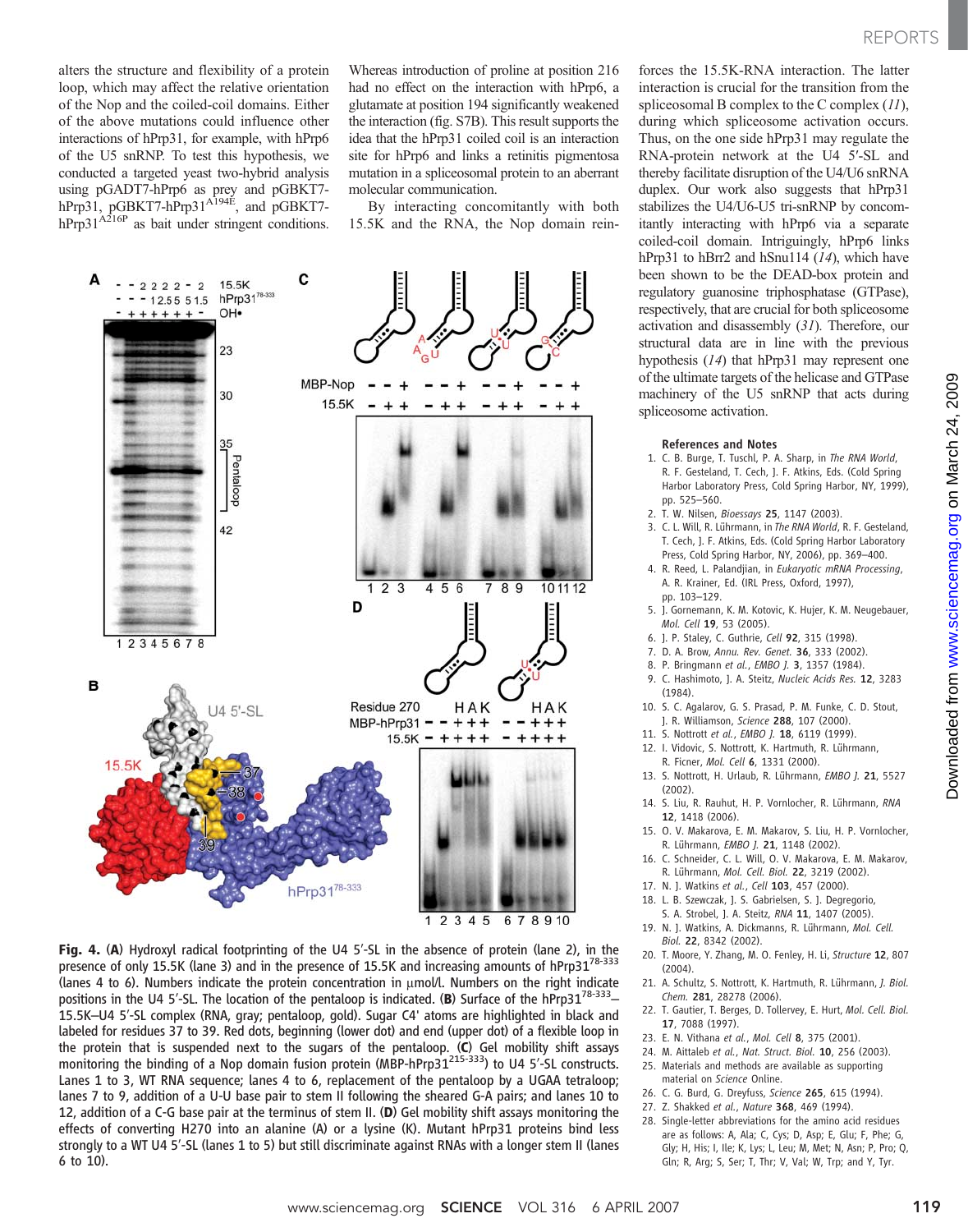alters the structure and flexibility of a protein loop, which may affect the relative orientation of the Nop and the coiled-coil domains. Either of the above mutations could influence other interactions of hPrp31, for example, with hPrp6 of the U5 snRNP. To test this hypothesis, we conducted a targeted yeast two-hybrid analysis using pGADT7-hPrp6 as prey and pGBKT7 hPrp31, pGBKT7-hPrp31<sup>A194E</sup>, and pGBKT7 $hPrp31^{A216P}$  as bait under stringent conditions.

Whereas introduction of proline at position 216 had no effect on the interaction with hPrp6, a glutamate at position 194 significantly weakened the interaction (fig. S7B). This result supports the idea that the hPrp31 coiled coil is an interaction site for hPrp6 and links a retinitis pigmentosa mutation in a spliceosomal protein to an aberrant molecular communication.

By interacting concomitantly with both 15.5K and the RNA, the Nop domain rein-



Fig. 4. (A) Hydroxyl radical footprinting of the U4 5′-SL in the absence of protein (lane 2), in the presence of only 15.5K (lane 3) and in the presence of 15.5K and increasing amounts of hPrp31<sup>78-333</sup> (lanes 4 to 6). Numbers indicate the protein concentration in  $\mu$ mol/l. Numbers on the right indicate positions in the U4 5'-SL. The location of the pentaloop is indicated. (B) Surface of the hPrp31<sup>78-333</sup>– 15.5K–U4 5′-SL complex (RNA, gray; pentaloop, gold). Sugar C4' atoms are highlighted in black and labeled for residues 37 to 39. Red dots, beginning (lower dot) and end (upper dot) of a flexible loop in the protein that is suspended next to the sugars of the pentaloop. (C) Gel mobility shift assays the protein that is suspended next to the sugars of the pentaloop. (C) Gel mobility shift assays<br>monitoring the binding of a Nop domain fusion protein (MBP-hPrp31<sup>215-333</sup>) to U4 5'-SL constructs. Lanes 1 to 3, WT RNA sequence; lanes 4 to 6, replacement of the pentaloop by a UGAA tetraloop; lanes 7 to 9, addition of a U-U base pair to stem II following the sheared G-A pairs; and lanes 10 to 12, addition of a C-G base pair at the terminus of stem II. (D) Gel mobility shift assays monitoring the effects of converting H270 into an alanine (A) or a lysine (K). Mutant hPrp31 proteins bind less strongly to a WT U4 5′-SL (lanes 1 to 5) but still discriminate against RNAs with a longer stem II (lanes 6 to 10).

forces the 15.5K-RNA interaction. The latter interaction is crucial for the transition from the spliceosomal B complex to the C complex (11), during which spliceosome activation occurs. Thus, on the one side hPrp31 may regulate the RNA-protein network at the U4 5′-SL and thereby facilitate disruption of the U4/U6 snRNA duplex. Our work also suggests that hPrp31 stabilizes the U4/U6-U5 tri-snRNP by concomitantly interacting with hPrp6 via a separate coiled-coil domain. Intriguingly, hPrp6 links hPrp31 to hBrr2 and hSnu114 (14), which have been shown to be the DEAD-box protein and regulatory guanosine triphosphatase (GTPase), respectively, that are crucial for both spliceosome activation and disassembly (31). Therefore, our structural data are in line with the previous hypothesis (14) that hPrp31 may represent one of the ultimate targets of the helicase and GTPase machinery of the U5 snRNP that acts during spliceosome activation.

#### References and Notes

- 1. C. B. Burge, T. Tuschl, P. A. Sharp, in The RNA World, R. F. Gesteland, T. Cech, J. F. Atkins, Eds. (Cold Spring Harbor Laboratory Press, Cold Spring Harbor, NY, 1999), pp. 525–560.
- 2. T. W. Nilsen, Bioessays 25, 1147 (2003).
- 3. C. L. Will, R. Lührmann, in The RNA World, R. F. Gesteland, T. Cech, J. F. Atkins, Eds. (Cold Spring Harbor Laboratory Press, Cold Spring Harbor, NY, 2006), pp. 369–400.
- 4. R. Reed, L. Palandjian, in Eukaryotic mRNA Processing, A. R. Krainer, Ed. (IRL Press, Oxford, 1997), pp. 103–129.
- 5. J. Gornemann, K. M. Kotovic, K. Hujer, K. M. Neugebauer, Mol. Cell 19, 53 (2005).
- 6. J. P. Staley, C. Guthrie, Cell 92, 315 (1998).
- 7. D. A. Brow, Annu. Rev. Genet. 36, 333 (2002).
- 8. P. Bringmann et al., EMBO J. 3, 1357 (1984).
- 9. C. Hashimoto, J. A. Steitz, Nucleic Acids Res. 12, 3283
- (1984). 10. S. C. Agalarov, G. S. Prasad, P. M. Funke, C. D. Stout,
- J. R. Williamson, Science 288, 107 (2000). 11. S. Nottrott et al., EMBO J. 18, 6119 (1999).
- 12. I. Vidovic, S. Nottrott, K. Hartmuth, R. Lührmann, R. Ficner, Mol. Cell 6, 1331 (2000).
- 13. S. Nottrott, H. Urlaub, R. Lührmann, EMBO J. 21, 5527 (2002).
- 14. S. Liu, R. Rauhut, H. P. Vornlocher, R. Lührmann, RNA 12, 1418 (2006).
- 15. O. V. Makarova, E. M. Makarov, S. Liu, H. P. Vornlocher, R. Lührmann, EMBO J. 21, 1148 (2002).
- 16. C. Schneider, C. L. Will, O. V. Makarova, E. M. Makarov, R. Lührmann, Mol. Cell. Biol. 22, 3219 (2002).
- 17. N. J. Watkins et al., Cell 103, 457 (2000).
- 18. L. B. Szewczak, J. S. Gabrielsen, S. J. Degregorio,
- S. A. Strobel, J. A. Steitz, RNA 11, 1407 (2005). 19. N. J. Watkins, A. Dickmanns, R. Lührmann, Mol. Cell.
- Biol. 22, 8342 (2002). 20. T. Moore, Y. Zhang, M. O. Fenley, H. Li, Structure 12, 807
- (2004). 21. A. Schultz, S. Nottrott, K. Hartmuth, R. Lührmann, J. Biol.
- Chem. 281, 28278 (2006).
- 22. T. Gautier, T. Berges, D. Tollervey, E. Hurt, Mol. Cell. Biol. 17, 7088 (1997).
- 23. E. N. Vithana et al., Mol. Cell 8, 375 (2001).
- 24. M. Aittaleb et al., Nat. Struct. Biol. 10, 256 (2003).
- 25. Materials and methods are available as supporting material on Science Online.
- 26. C. G. Burd, G. Dreyfuss, Science 265, 615 (1994).
- 27. Z. Shakked et al., Nature 368, 469 (1994).
- 28. Single-letter abbreviations for the amino acid residues are as follows: A, Ala; C, Cys; D, Asp; E, Glu; F, Phe; G, Gly; H, His; I, Ile; K, Lys; L, Leu; M, Met; N, Asn; P, Pro; Q, Gln; R, Arg; S, Ser; T, Thr; V, Val; W, Trp; and Y, Tyr.